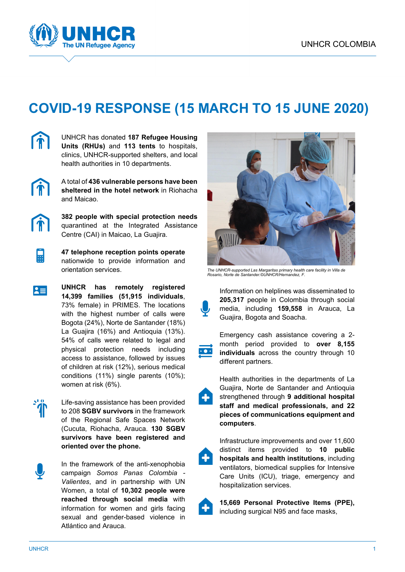

## **COVID-19 RESPONSE (15 MARCH TO 15 JUNE 2020)**



UNHCR has donated **187 Refugee Housing Units (RHUs)** and **113 tents** to hospitals, clinics, UNHCR-supported shelters, and local health authorities in 10 departments.



A total of **436 vulnerable persons have been sheltered in the hotel network** in Riohacha and Maicao.



 $\blacksquare$ 

 $|z|$ 

**382 people with special protection needs** quarantined at the Integrated Assistance Centre (CAI) in Maicao, La Guajira.

**47 telephone reception points operate** nationwide to provide information and orientation services.

**UNHCR has remotely registered 14,399 families (51,915 individuals**, 73% female) in PRIMES. The locations with the highest number of calls were Bogota (24%), Norte de Santander (18%) La Guajira (16%) and Antioquia (13%). 54% of calls were related to legal and physical protection needs including access to assistance, followed by issues of children at risk (12%), serious medical conditions (11%) single parents (10%); women at risk (6%).



Life-saving assistance has been provided to 208 **SGBV survivors** in the framework of the Regional Safe Spaces Network (Cucuta, Riohacha, Arauca. **130 SGBV survivors have been registered and oriented over the phone.**



In the framework of the anti-xenophobia campaign *Somos Panas Colombia - Valientes*, and in partnership with UN Women, a total of **10,302 people were reached through social media** with information for women and girls facing sexual and gender-based violence in Atlántico and Arauca.



*The UNHCR-supported Las Margaritas primary health care facility in Villa de Rosario, Norte de Santander.©UNHCR/Hernandez, F.*

Information on helplines was disseminated to **205,317** people in Colombia through social media, including **159,558** in Arauca, La Guajira, Bogota and Soacha.



Emergency cash assistance covering a 2 month period provided to **over 8,155 individuals** across the country through 10 different partners.

Health authorities in the departments of La Guajira, Norte de Santander and Antioquia strengthened through **9 additional hospital staff and medical professionals, and 22 pieces of communications equipment and computers**.

Infrastructure improvements and over 11,600 distinct items provided to **10 public hospitals and health institutions**, including ventilators, biomedical supplies for Intensive Care Units (ICU), triage, emergency and hospitalization services.